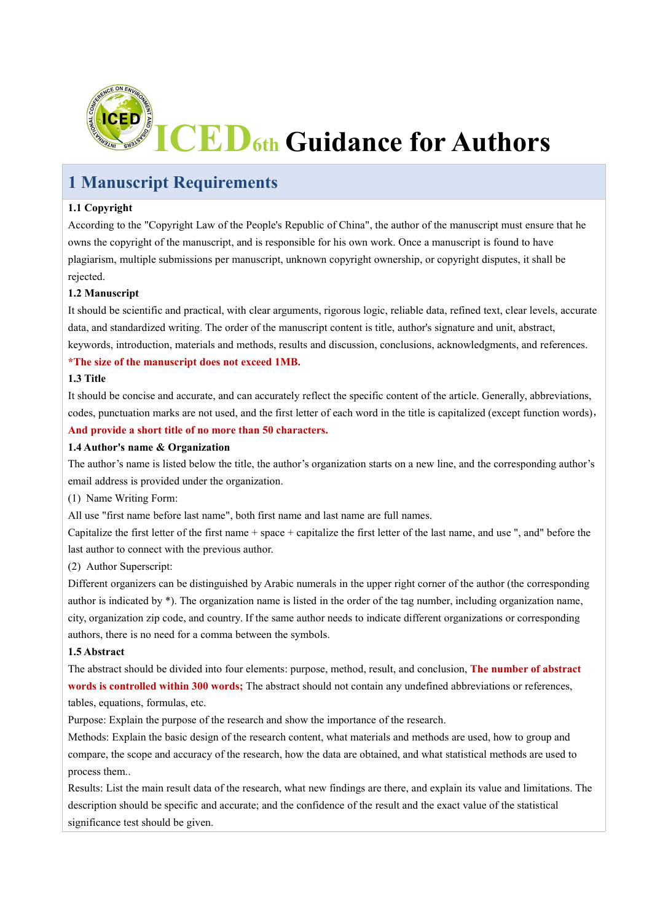

# **1 Manuscript Requirements**

#### **1.1 Copyright**

According to the "Copyright Law of the People's Republic of China", the author of the manuscript must ensure that he owns the copyright of the manuscript, and is responsible for his own work. Once a manuscript is found to have plagiarism, multiple submissions per manuscript, unknown copyright ownership, or copyright disputes, it shall be rejected.

#### **1.2 Manuscript**

It should be scientific and practical, with clear arguments, rigorous logic, reliable data, refined text, clear levels, accurate data, and standardized writing. The order of the manuscript content is title, author's signature and unit, abstract, keywords, introduction, materials and methods, results and discussion, conclusions, acknowledgments, and references.

#### **\*The size of the manuscript does not exceed 1MB.**

### **1.3 Title**

It should be concise and accurate, and can accurately reflect the specific contentof the article. Generally, abbreviations, codes, punctuation marks are not used, and the first letter of each word in the title is capitalized (except function words),

#### **And provide a short title of no more than 50 characters.**

#### **1.4 Author's name & Organization**

The author's name is listed below the title, the author's organization starts on a new line, and the corresponding author's email address is provided under the organization.

(1) Name Writing Form:

All use "first name before last name", both first name and last name are full names.

Capitalize the first letter of the first name + space + capitalize the first letter of the last name, and use ", and" before the last author to connect with the previous author.

(2) Author Superscript:

Different organizers can be distinguished by Arabic numerals in the upper right corner of the author (the corresponding author is indicated by \*). The organization name is listed in the order of the tag number, including organization name, city, organization zip code, and country. If the same author needs to indicate different organizations orcorresponding authors, there is no need for a comma between the symbols.

#### **1.5 Abstract**

The abstract should be divided into four elements: purpose, method, result, and conclusion, **The number of abstract words is controlled within 300 words;**The abstract should not contain any undefined abbreviations or references, tables, equations, formulas, etc.

Purpose: Explain the purpose of the research and show the importance of the research.

Methods: Explain the basic design of the research content, what materials and methods are used, how to group and compare, the scope and accuracy of the research, how the data are obtained, and what statistical methods are used to process them..

Results: List the main result data of the research, what new findings are there, and explain its value and limitations.The description should be specific and accurate; and the confidence of the result and the exact value of the statistical significance test should be given.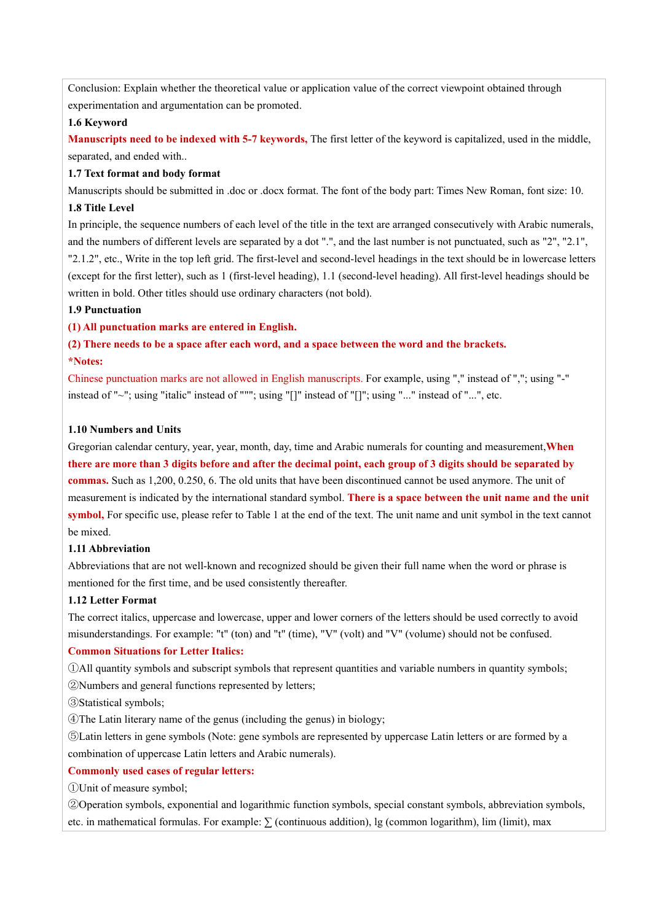Conclusion: Explain whether the theoretical value or application value of the correct viewpoint obtained through experimentation and argumentation can be promoted.

#### **1.6 Keyword**

**Manuscripts need to be indexed with 5-7 keywords,** The first letter of the keyword is capitalized, used in the middle,separated, and ended with..

#### **1.7 Text format and body format**

Manuscripts should be submitted in .doc or .docx format. The font of the body part: Times New Roman, font size: 10.

#### **1.8 Title Level**

In principle, the sequence numbers of each level of the title in the text are arranged consecutively with Arabic numerals, and the numbers of different levels are separated by a dot ".", and the last number is not punctuated, such as "2", "2.1", "2.1.2", etc., Write in the top left grid. The first-level and second-level headings in the text should be in lowercase letters (except for the first letter), such as 1 (first-level heading), 1.1 (second-level heading). All first-level headings should be written in bold. Other titles should use ordinary characters (not bold).

#### **1.9 Punctuation**

#### **(1) All punctuation marks are entered in English.**

# (2) There needs to be a space after each word, and a space between the word and the brackets.<br>\*Notes:

Chinese punctuation marks are not allowed in English manuscripts. For example, using "," instead of ","; using "-" instead of "~"; using "italic" instead of """; using "[]" instead of "[]"; using "..." instead of "...", etc.

#### **1.10 Numbers and Units**

Gregorian calendar century, year, year, month, day, time and Arabic numerals for counting and measurement,**When** there are more than 3 digits before and after the decimal point, each group of 3 digits should be separated by **commas.** Such as 1,200, 0.250, 6. The old units that have been discontinued cannot be used anymore. The unit of measurement is indicated by the international standard symbol. **There is a space between the unit name and the unit symbol,** For specific use, please refer to Table 1 at the end of the text. The unit name and unit symbol in the text cannot be mixed.

#### **1.11 Abbreviation**

Abbreviations that are not well-known and recognized should be given their full name when the word or phrase is mentioned for the first time, and be used consistently thereafter.

#### **1.12 Letter Format**

The correct italics, uppercase and lowercase, upper and lower corners ofthe letters should be used correctly to avoid misunderstandings. For example: "t" (ton) and "t" (time),"V" (volt) and "V" (volume) should not be confused.

#### **Common Situations for Letter Italics:**

①All quantity symbols and subscript symbols that represent quantities and variable numbers in quantity symbols; ②Numbers and general functions represented by letters;

③Statistical symbols;

④The Latin literary name of the genus (including the genus) in biology;

⑤Latin letters in gene symbols (Note: gene symbols are represented by uppercase Latin letters orare formed by a combination of uppercase Latin letters and Arabic numerals).

#### **Commonly used cases** of **regular letters:**

①Unit of measure symbol;

②Operation symbols, exponential and logarithmic function symbols, special constant symbols, abbreviation symbols, etc. in mathematical formulas. For example:  $\sum$  (continuous addition), lg (common logarithm), lim (limit), max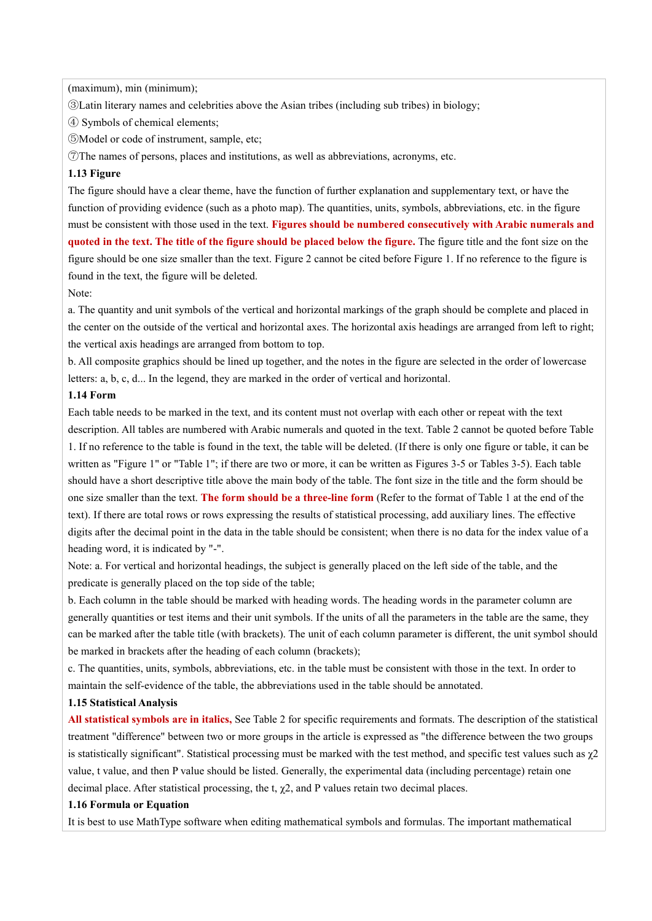(maximum), min (minimum);

③Latin literary names and celebrities above the Asian tribes (including sub tribes) in biology;

④ Symbols ofchemical elements;

⑤Model or code of instrument, sample, etc;

⑦The names of persons, places and institutions, as well as abbreviations, acronyms, etc.

#### **1.13 Figure**

The figure should have a clear theme, have the function of further explanation and supplementary text, or have the function of providing evidence (such as a photo map). The quantities, units, symbols, abbreviations, etc. in the figure must be consistent with those used in the text. **Figures should be numbered consecutively with Arabic numerals and** quoted in the text. The title of the figure should be placed below the figure. The figure title and the font size on the figure should be one size smaller than the text. Figure 2 cannot be cited before Figure 1. If no reference to the figure is found in the text, the figure will be deleted.

Note:

a. The quantity and unit symbols of the vertical and horizontal markings of the graph should be complete and placed in the center on the outside of the vertical and horizontal axes. The horizontal axis headings are arranged from left to right; the vertical axis headings are arranged from bottom to top.

b. All composite graphics should be lined up together, and the notes in the figure are selected in the order of lowercase letters:  $a, b, c, d...$  In the legend, they are marked in the order of vertical and horizontal.

#### **1.14 Form**

Each table needs to be marked in the text, and its content must not overlap with each other or repeat with the text description. All tables are numbered with Arabic numerals and quoted in the text. Table 2 cannot be quoted before Table 1. If no reference to the table is found in the text, the table will be deleted. (If there is only one figure or table, it can be written as "Figure 1" or "Table 1"; if there are two or more, it can be written as Figures 3-5 or Tables 3-5). Each table should have a short descriptive title above the main body of the table. The font size in the title and the form should be one size smaller than the text. **The form should be a three-line form** (Refer to the format of Table 1 at the end of the text). If there are total rows orrows expressing the results of statistical processing, add auxiliary lines. The effective digits after the decimal point in the data in the table should be consistent; when there is no data for the index value of a heading word, it is indicated by "-".

Note: a. For vertical and horizontal headings, the subject is generally placed on the left side of the table, and the predicate is generally placed on the top side of the table;

b. Each column in the table should be marked with heading words. The heading words in the parameter column are generally quantities or test items and their unit symbols. If the units of all the parameters in the table are the same, they can be marked after the table title (with brackets). The unit of each column parameter is different, the unit symbol should be marked in brackets after the heading of each column (brackets);

c. The quantities, units, symbols, abbreviations, etc. in the table must be consistent with those in the text. In order to maintain the self-evidence of the table, the abbreviations used in the table should be annotated.

#### **1.15 Statistical Analysis**

**All statistical symbols are in italics,** See Table 2 for specific requirements and formats. The description of the statistical treatment "difference" between two or more groups in the article is expressed as "the difference between the two groups is statistically significant". Statistical processing must be marked with the test method, and specific test values such as  $\gamma$ 2 value, t value, and then P value should be listed. Generally, the experimental data (including percentage) retain one decimal place. After statistical processing, the t,  $\chi$ 2, and P values retain two decimal places.

#### **1.16 Formula or Equation**

It is best to use MathType software when editing mathematical symbols and formulas. The important mathematical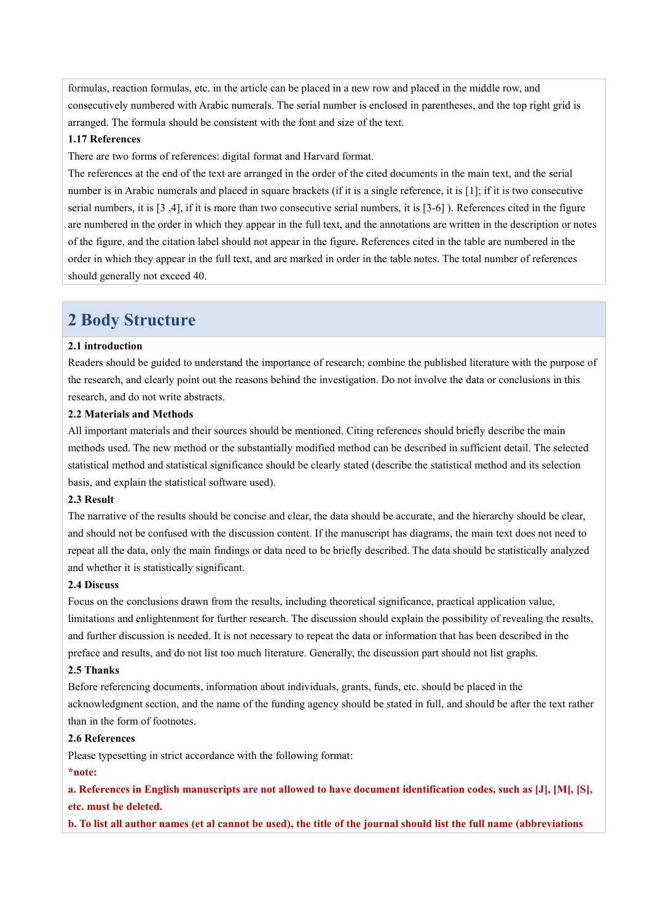formulas, reaction formulas, etc. in the article can be placed in a new row and placed in the middle row, and consecutively numbered with Arabic numerals. The serial number is enclosed in parentheses, and the top right grid is arranged. The formula should be consistent with the font and size of the text.

#### **1.17 References**

There are two forms of references: digital format and Harvard format.

The references at the end of the text are arranged in the order of the cited documents in the main text, and the serial number is in Arabic numerals and placed in square brackets (if it is a single reference, it is [1]; if it is two consecutive serial numbers, it is [3,4], if it is more than two consecutive serial numbers, it is [3-6]). References cited in the figure are numbered in the order in which they appear in the full text, and the annotations are written in the description or notes of the figure, and the citation label should not appear in the figure. References cited in the table are numbered in the order in which they appear in the full text, and are marked in order in the table notes. The total number of references should generally not exceed 40.

## **2 Body Structure**

#### **2.1 introduction**

Readers should be guided to understand the importance of research; combine the published literature with the purpose of the research, and clearly point out the reasons behind the investigation. Do not involve the data or conclusions in this research, and do not write abstracts.

#### **2.2 Materials and Methods**

All important materials and their sources should be mentioned. Citing references should briefly describe the main methods used. The new method or the substantially modified method can be described in sufficient detail. The selected statistical method and statistical significance should be clearly stated (describe the statistical method and its selection basis, and explain the statistical software used).

#### **2.3 Result**

The narrative of the results should be concise and clear, the data should be accurate, and the hierarchy should be clear, and should not be confused with the discussion content. If the manuscript has diagrams, the main text does not need to repeat all the data, only the main findings ordata need to be briefly described. The data should be statistically analyzed and whether it is statistically significant.

#### **2.4 Discuss**

Focus on the conclusions drawn from the results, including theoretical significance, practical application value, limitations and enlightenment for further research. The discussion should explain the possibility of revealing the results, and further discussion is needed. It is not necessary to repeat the data or information that has been described in the preface and results, and do not listtoo much literature. Generally, the discussion part should not list graphs.

#### **2.5 Thanks**

Before referencing documents, information about individuals, grants, funds, etc. should be placed in the acknowledgment section, and the name of the funding agency should be stated in full, and should be after the text rather than in the form of footnotes.

#### **2.6 References**

Please typesetting in strict accordance with the following format:

#### **\*note:**

a. References in English manuscripts are not allowed to have document identification codes, such as [J], [M], [S], **etc. must be deleted.**

b. To list all author names (et al cannot be used), the title of the journal should list the full name (abbreviations